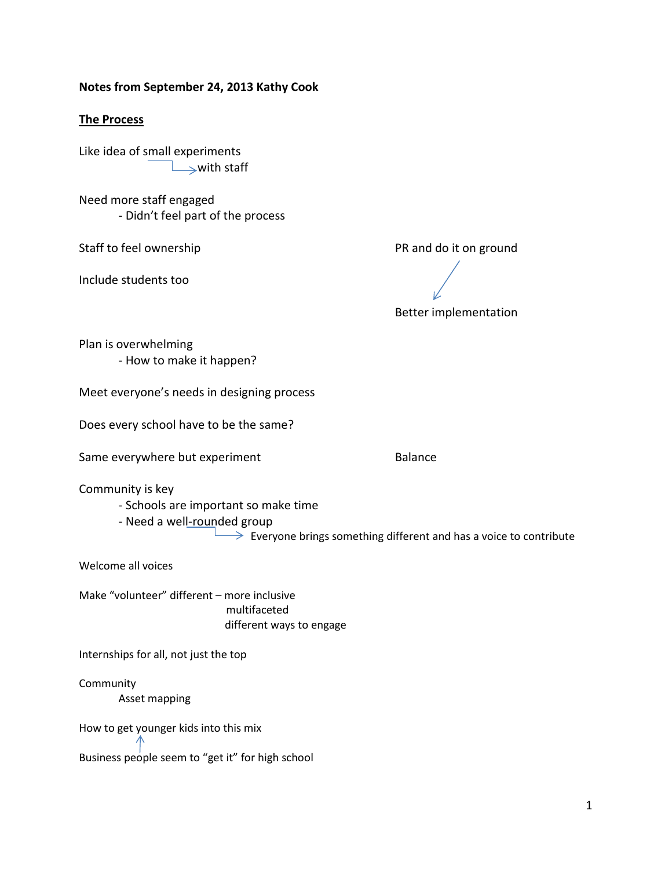## **Notes from September 24, 2013 Kathy Cook**

## **The Process**

Like idea of small experiments  $\rightarrow$ with staff

Need more staff engaged - Didn't feel part of the process

Include students too

Staff to feel ownership **PR** and do it on ground

Better implementation

Plan is overwhelming - How to make it happen?

Meet everyone's needs in designing process

Does every school have to be the same?

Same everywhere but experiment example and a Balance

Community is key

- Schools are important so make time

- Need a well-rounded group

 $\rightarrow$  Everyone brings something different and has a voice to contribute

Welcome all voices

Make "volunteer" different – more inclusive multifaceted different ways to engage

Internships for all, not just the top

Community Asset mapping

How to get younger kids into this mix

Business people seem to "get it" for high school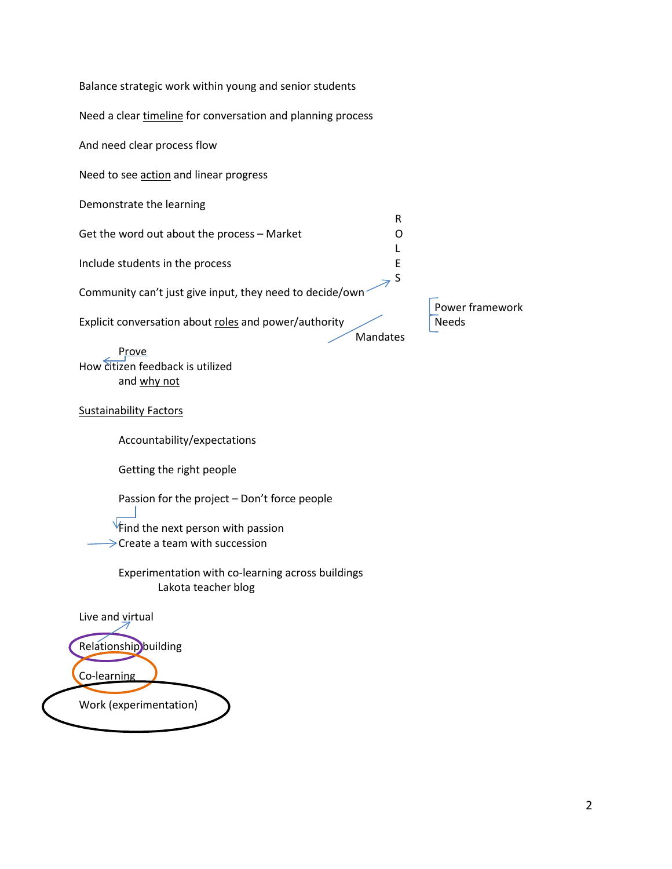| Balance strategic work within young and senior students                                                                              |                 |
|--------------------------------------------------------------------------------------------------------------------------------------|-----------------|
| Need a clear timeline for conversation and planning process                                                                          |                 |
| And need clear process flow                                                                                                          |                 |
| Need to see action and linear progress                                                                                               |                 |
| Demonstrate the learning                                                                                                             |                 |
| R<br>Get the word out about the process - Market<br>O                                                                                |                 |
| Include students in the process<br>Ε                                                                                                 |                 |
| S<br>Community can't just give input, they need to decide/own                                                                        | Power framework |
| Explicit conversation about roles and power/authority<br>Mandates                                                                    | <b>Needs</b>    |
| Prove<br>How citizen feedback is utilized<br>and why not                                                                             |                 |
| <b>Sustainability Factors</b>                                                                                                        |                 |
| Accountability/expectations                                                                                                          |                 |
| Getting the right people                                                                                                             |                 |
| Passion for the project - Don't force people<br>$\sqrt{5}$ Find the next person with passion<br>$\geq$ Create a team with succession |                 |
| Experimentation with co-learning across buildings<br>Lakota teacher blog                                                             |                 |
| Live and virtual                                                                                                                     |                 |
| Relationship building                                                                                                                |                 |
| Co-learning                                                                                                                          |                 |
| Work (experimentation)                                                                                                               |                 |